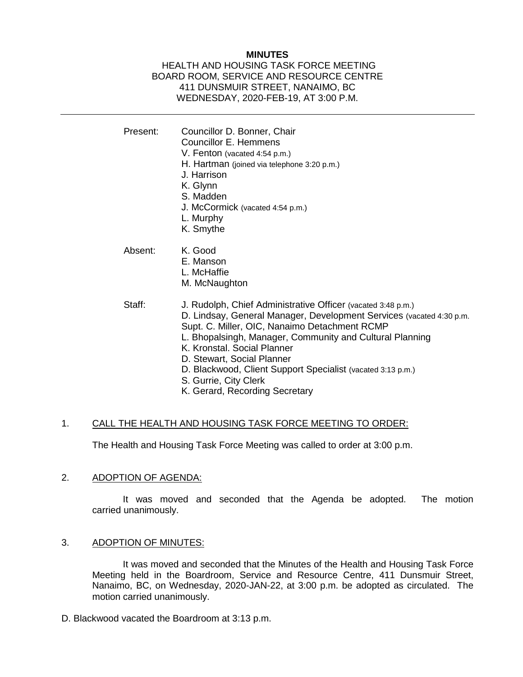## **MINUTES**

### HEALTH AND HOUSING TASK FORCE MEETING BOARD ROOM, SERVICE AND RESOURCE CENTRE 411 DUNSMUIR STREET, NANAIMO, BC WEDNESDAY, 2020-FEB-19, AT 3:00 P.M.

| Present: | Councillor D. Bonner, Chair<br>Councillor E. Hemmens<br>V. Fenton (vacated 4:54 p.m.)<br>H. Hartman (joined via telephone 3:20 p.m.)<br>J. Harrison<br>K. Glynn<br>S. Madden<br>J. McCormick (vacated 4:54 p.m.)<br>L. Murphy<br>K. Smythe                                                                                                                                                                                               |
|----------|------------------------------------------------------------------------------------------------------------------------------------------------------------------------------------------------------------------------------------------------------------------------------------------------------------------------------------------------------------------------------------------------------------------------------------------|
| Absent:  | K. Good<br>E. Manson<br>L. McHaffie<br>M. McNaughton                                                                                                                                                                                                                                                                                                                                                                                     |
| Staff:   | J. Rudolph, Chief Administrative Officer (vacated 3:48 p.m.)<br>D. Lindsay, General Manager, Development Services (vacated 4:30 p.m.<br>Supt. C. Miller, OIC, Nanaimo Detachment RCMP<br>L. Bhopalsingh, Manager, Community and Cultural Planning<br>K. Kronstal, Social Planner<br>D. Stewart, Social Planner<br>D. Blackwood, Client Support Specialist (vacated 3:13 p.m.)<br>S. Gurrie, City Clerk<br>K. Gerard, Recording Secretary |

# 1. CALL THE HEALTH AND HOUSING TASK FORCE MEETING TO ORDER:

The Health and Housing Task Force Meeting was called to order at 3:00 p.m.

#### 2. ADOPTION OF AGENDA:

It was moved and seconded that the Agenda be adopted. The motion carried unanimously.

#### 3. ADOPTION OF MINUTES:

It was moved and seconded that the Minutes of the Health and Housing Task Force Meeting held in the Boardroom, Service and Resource Centre, 411 Dunsmuir Street, Nanaimo, BC, on Wednesday, 2020-JAN-22, at 3:00 p.m. be adopted as circulated. The motion carried unanimously.

D. Blackwood vacated the Boardroom at 3:13 p.m.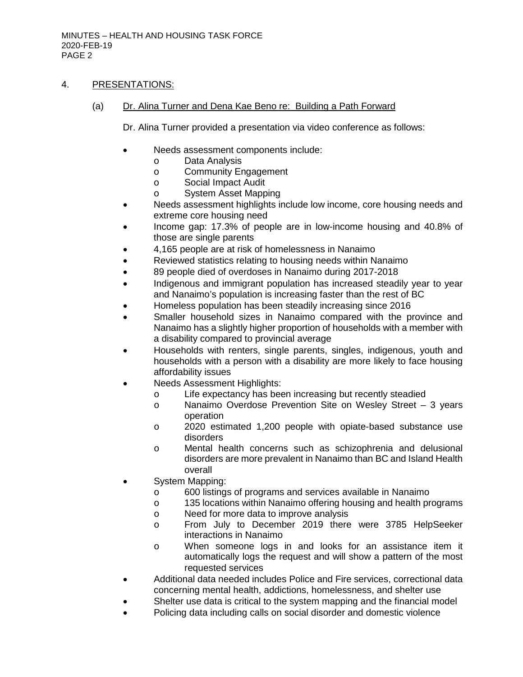# 4. PRESENTATIONS:

(a) Dr. Alina Turner and Dena Kae Beno re: Building a Path Forward

Dr. Alina Turner provided a presentation via video conference as follows:

- Needs assessment components include:
	- o Data Analysis
	- o Community Engagement<br>o Social Impact Audit
		- Social Impact Audit
	- o System Asset Mapping
- Needs assessment highlights include low income, core housing needs and extreme core housing need
- Income gap: 17.3% of people are in low-income housing and 40.8% of those are single parents
- 4,165 people are at risk of homelessness in Nanaimo
- Reviewed statistics relating to housing needs within Nanaimo
- 89 people died of overdoses in Nanaimo during 2017-2018
- Indigenous and immigrant population has increased steadily year to year and Nanaimo's population is increasing faster than the rest of BC
- Homeless population has been steadily increasing since 2016
- Smaller household sizes in Nanaimo compared with the province and Nanaimo has a slightly higher proportion of households with a member with a disability compared to provincial average
- Households with renters, single parents, singles, indigenous, youth and households with a person with a disability are more likely to face housing affordability issues
- Needs Assessment Highlights:
	- o Life expectancy has been increasing but recently steadied
	- o Nanaimo Overdose Prevention Site on Wesley Street 3 years operation
	- o 2020 estimated 1,200 people with opiate-based substance use disorders
	- o Mental health concerns such as schizophrenia and delusional disorders are more prevalent in Nanaimo than BC and Island Health overall
- System Mapping:
	- o 600 listings of programs and services available in Nanaimo<br>
	o 135 locations within Nanaimo offering housing and health pr
	- 135 locations within Nanaimo offering housing and health programs
	- o Need for more data to improve analysis
	- o From July to December 2019 there were 3785 HelpSeeker interactions in Nanaimo
	- o When someone logs in and looks for an assistance item it automatically logs the request and will show a pattern of the most requested services
- Additional data needed includes Police and Fire services, correctional data concerning mental health, addictions, homelessness, and shelter use
- Shelter use data is critical to the system mapping and the financial model
- Policing data including calls on social disorder and domestic violence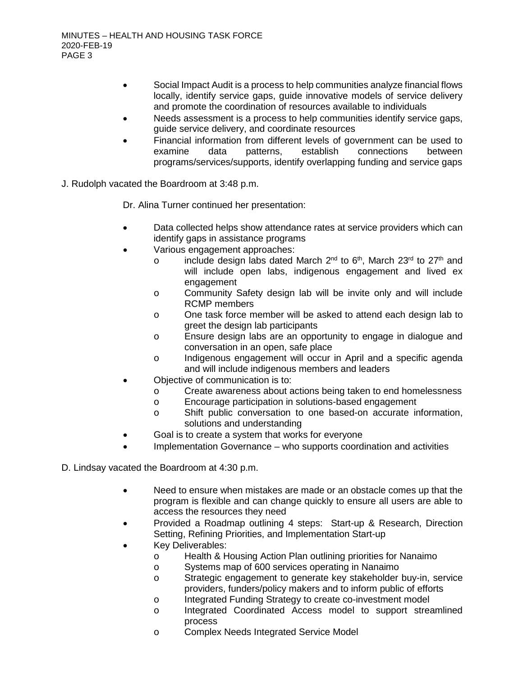- Social Impact Audit is a process to help communities analyze financial flows locally, identify service gaps, guide innovative models of service delivery and promote the coordination of resources available to individuals
- Needs assessment is a process to help communities identify service gaps, guide service delivery, and coordinate resources
- Financial information from different levels of government can be used to examine data patterns, establish connections between examine data patterns, establish connections between programs/services/supports, identify overlapping funding and service gaps
- J. Rudolph vacated the Boardroom at 3:48 p.m.

Dr. Alina Turner continued her presentation:

- Data collected helps show attendance rates at service providers which can identify gaps in assistance programs
- Various engagement approaches:
	- o include design labs dated March  $2^{nd}$  to  $6^{th}$ , March  $23^{rd}$  to  $27^{th}$  and will include open labs, indigenous engagement and lived ex engagement
	- o Community Safety design lab will be invite only and will include RCMP members
	- o One task force member will be asked to attend each design lab to greet the design lab participants
	- o Ensure design labs are an opportunity to engage in dialogue and conversation in an open, safe place
	- o Indigenous engagement will occur in April and a specific agenda and will include indigenous members and leaders
- Objective of communication is to:
	- o Create awareness about actions being taken to end homelessness
	- o Encourage participation in solutions-based engagement
	- o Shift public conversation to one based-on accurate information, solutions and understanding
- Goal is to create a system that works for everyone
- Implementation Governance who supports coordination and activities

D. Lindsay vacated the Boardroom at 4:30 p.m.

- Need to ensure when mistakes are made or an obstacle comes up that the program is flexible and can change quickly to ensure all users are able to access the resources they need
- Provided a Roadmap outlining 4 steps: Start-up & Research, Direction Setting, Refining Priorities, and Implementation Start-up
- Key Deliverables:
	- o Health & Housing Action Plan outlining priorities for Nanaimo<br>
	Systems map of 600 services operating in Nanaimo
	- o Systems map of 600 services operating in Nanaimo<br>
	o Strategic engagement to generate key stakeholder
	- Strategic engagement to generate key stakeholder buy-in, service providers, funders/policy makers and to inform public of efforts
	- o Integrated Funding Strategy to create co-investment model
	- o Integrated Coordinated Access model to support streamlined process
	- o Complex Needs Integrated Service Model